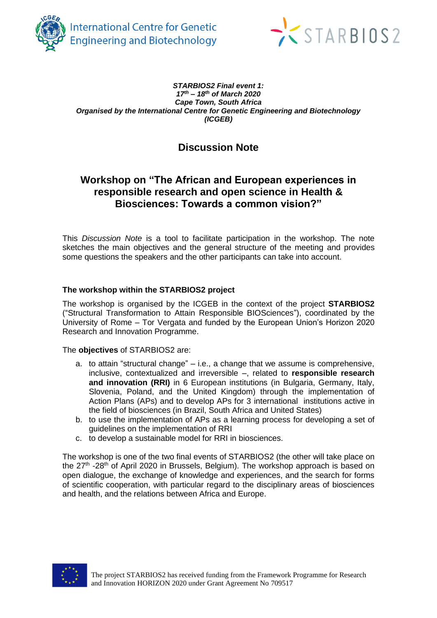



#### *STARBIOS2 Final event 1: 17th – 18th of March 2020 Cape Town, South Africa Organised by the International Centre for Genetic Engineering and Biotechnology (ICGEB)*

# **Discussion Note**

## **Workshop on "The African and European experiences in responsible research and open science in Health & Biosciences: Towards a common vision?"**

This *Discussion Note* is a tool to facilitate participation in the workshop. The note sketches the main objectives and the general structure of the meeting and provides some questions the speakers and the other participants can take into account.

## **The workshop within the STARBIOS2 project**

The workshop is organised by the ICGEB in the context of the project **STARBIOS2** ("Structural Transformation to Attain Responsible BIOSciences"), coordinated by the University of Rome – Tor Vergata and funded by the European Union's Horizon 2020 Research and Innovation Programme.

## The **objectives** of STARBIOS2 are:

- a. to attain "structural change" i.e., a change that we assume is comprehensive, inclusive, contextualized and irreversible –, related to **responsible research and innovation (RRI)** in 6 European institutions (in Bulgaria, Germany, Italy, Slovenia, Poland, and the United Kingdom) through the implementation of Action Plans (APs) and to develop APs for 3 international institutions active in the field of biosciences (in Brazil, South Africa and United States)
- b. to use the implementation of APs as a learning process for developing a set of guidelines on the implementation of RRI
- c. to develop a sustainable model for RRI in biosciences.

The workshop is one of the two final events of STARBIOS2 (the other will take place on the 27<sup>th</sup> -28<sup>th</sup> of April 2020 in Brussels, Belgium). The workshop approach is based on open dialogue, the exchange of knowledge and experiences, and the search for forms of scientific cooperation, with particular regard to the disciplinary areas of biosciences and health, and the relations between Africa and Europe.

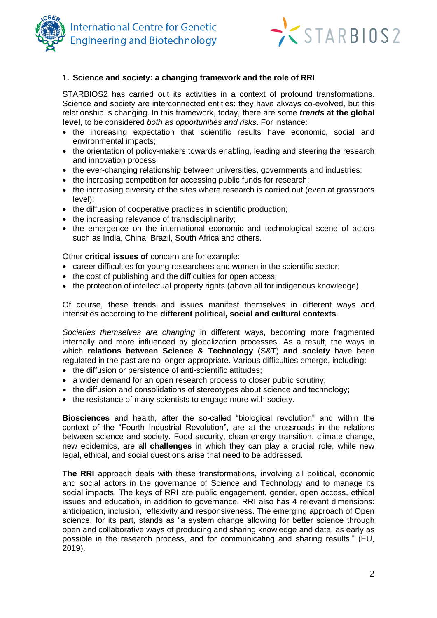

**International Centre for Genetic Engineering and Biotechnology** 



## **1. Science and society: a changing framework and the role of RRI**

STARBIOS2 has carried out its activities in a context of profound transformations. Science and society are interconnected entities: they have always co-evolved, but this relationship is changing. In this framework, today, there are some *trends* **at the global level**, to be considered *both as opportunities and risks*. For instance:

- the increasing expectation that scientific results have economic, social and environmental impacts;
- the orientation of policy-makers towards enabling, leading and steering the research and innovation process;
- the ever-changing relationship between universities, governments and industries;
- the increasing competition for accessing public funds for research;
- the increasing diversity of the sites where research is carried out (even at grassroots) level);
- the diffusion of cooperative practices in scientific production;
- the increasing relevance of transdisciplinarity;
- the emergence on the international economic and technological scene of actors such as India, China, Brazil, South Africa and others.

#### Other **critical issues of** concern are for example:

- career difficulties for young researchers and women in the scientific sector;
- the cost of publishing and the difficulties for open access;
- the protection of intellectual property rights (above all for indigenous knowledge).

Of course, these trends and issues manifest themselves in different ways and intensities according to the **different political, social and cultural contexts**.

*Societies themselves are changing* in different ways, becoming more fragmented internally and more influenced by globalization processes. As a result, the ways in which **relations between Science & Technology** (S&T) **and society** have been regulated in the past are no longer appropriate. Various difficulties emerge, including:

- the diffusion or persistence of anti-scientific attitudes;
- a wider demand for an open research process to closer public scrutiny;
- the diffusion and consolidations of stereotypes about science and technology:
- the resistance of many scientists to engage more with society.

**Biosciences** and health, after the so-called "biological revolution" and within the context of the "Fourth Industrial Revolution", are at the crossroads in the relations between science and society. Food security, clean energy transition, climate change, new epidemics, are all **challenges** in which they can play a crucial role, while new legal, ethical, and social questions arise that need to be addressed.

**The RRI** approach deals with these transformations, involving all political, economic and social actors in the governance of Science and Technology and to manage its social impacts. The keys of RRI are public engagement, gender, open access, ethical issues and education, in addition to governance. RRI also has 4 relevant dimensions: anticipation, inclusion, reflexivity and responsiveness. The emerging approach of Open science, for its part, stands as "a system change allowing for better science through open and collaborative ways of producing and sharing knowledge and data, as early as possible in the research process, and for communicating and sharing results." (EU, 2019).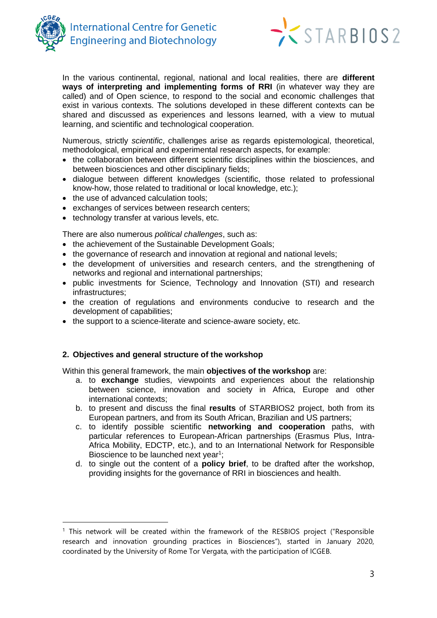



In the various continental, regional, national and local realities, there are **different ways of interpreting and implementing forms of RRI** (in whatever way they are called) and of Open science, to respond to the social and economic challenges that exist in various contexts. The solutions developed in these different contexts can be shared and discussed as experiences and lessons learned, with a view to mutual learning, and scientific and technological cooperation.

Numerous, strictly *scientific*, challenges arise as regards epistemological, theoretical, methodological, empirical and experimental research aspects, for example:

- the collaboration between different scientific disciplines within the biosciences, and between biosciences and other disciplinary fields;
- dialogue between different knowledges (scientific, those related to professional know-how, those related to traditional or local knowledge, etc.);
- the use of advanced calculation tools:
- exchanges of services between research centers;
- technology transfer at various levels, etc.

There are also numerous *political challenges*, such as:

- the achievement of the Sustainable Development Goals;
- the governance of research and innovation at regional and national levels;
- the development of universities and research centers, and the strengthening of networks and regional and international partnerships;
- public investments for Science, Technology and Innovation (STI) and research infrastructures;
- the creation of regulations and environments conducive to research and the development of capabilities;
- the support to a science-literate and science-aware society, etc.

## **2. Objectives and general structure of the workshop**

Within this general framework, the main **objectives of the workshop** are:

- a. to **exchange** studies, viewpoints and experiences about the relationship between science, innovation and society in Africa, Europe and other international contexts;
- b. to present and discuss the final **results** of STARBIOS2 project, both from its European partners, and from its South African, Brazilian and US partners;
- c. to identify possible scientific **networking and cooperation** paths, with particular references to European-African partnerships (Erasmus Plus, Intra-Africa Mobility, EDCTP, etc.), and to an International Network for Responsible Bioscience to be launched next year<sup>1</sup>;
- d. to single out the content of a **policy brief**, to be drafted after the workshop, providing insights for the governance of RRI in biosciences and health.

<sup>&</sup>lt;sup>1</sup> This network will be created within the framework of the RESBIOS project ("Responsible research and innovation grounding practices in Biosciences"), started in January 2020, coordinated by the University of Rome Tor Vergata, with the participation of ICGEB.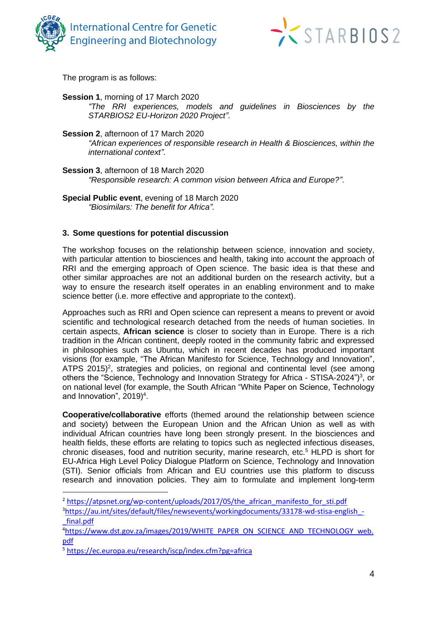



The program is as follows:

**Session 1**, morning of 17 March 2020 *"The RRI experiences, models and guidelines in Biosciences by the STARBIOS2 EU-Horizon 2020 Project"*.

**Session 2**, afternoon of 17 March 2020 *"African experiences of responsible research in Health & Biosciences, within the international context"*.

**Session 3**, afternoon of 18 March 2020 *"Responsible research: A common vision between Africa and Europe?"*.

**Special Public event**, evening of 18 March 2020 *"Biosimilars: The benefit for Africa".*

## **3. Some questions for potential discussion**

The workshop focuses on the relationship between science, innovation and society, with particular attention to biosciences and health, taking into account the approach of RRI and the emerging approach of Open science. The basic idea is that these and other similar approaches are not an additional burden on the research activity, but a way to ensure the research itself operates in an enabling environment and to make science better (i.e. more effective and appropriate to the context).

Approaches such as RRI and Open science can represent a means to prevent or avoid scientific and technological research detached from the needs of human societies. In certain aspects, **African science** is closer to society than in Europe. There is a rich tradition in the African continent, deeply rooted in the community fabric and expressed in philosophies such as Ubuntu, which in recent decades has produced important visions (for example, "The African Manifesto for Science, Technology and Innovation", ATPS  $2015$ <sup>2</sup>, strategies and policies, on regional and continental level (see among others the "Science, Technology and Innovation Strategy for Africa - STISA-2024")<sup>3</sup>, or on national level (for example, the South African "White Paper on Science, Technology and Innovation",  $2019)^4$ .

**Cooperative/collaborative** efforts (themed around the relationship between science and society) between the European Union and the African Union as well as with individual African countries have long been strongly present. In the biosciences and health fields, these efforts are relating to topics such as neglected infectious diseases, chronic diseases, food and nutrition security, marine research, etc.<sup>5</sup> HLPD is short for EU-Africa High Level Policy Dialogue Platform on Science, Technology and Innovation (STI). Senior officials from African and EU countries use this platform to discuss research and innovation policies. They aim to formulate and implement long-term

<sup>&</sup>lt;sup>2</sup> [https://atpsnet.org/wp-content/uploads/2017/05/the\\_african\\_manifesto\\_for\\_sti.pdf](https://atpsnet.org/wp-content/uploads/2017/05/the_african_manifesto_for_sti.pdf) <sup>3</sup>https://au.int/sites/default/files/newsevents/workingdocuments/33178-wd-stisa-english-

[\\_final.pdf](https://au.int/sites/default/files/newsevents/workingdocuments/33178-wd-stisa-english_-_final.pdf)

<sup>&</sup>lt;sup>4</sup>[https://www.dst.gov.za/images/2019/WHITE\\_PAPER\\_ON\\_SCIENCE\\_AND\\_TECHNOLOGY\\_web.](https://www.dst.gov.za/images/2019/WHITE_PAPER_ON_SCIENCE_AND_TECHNOLOGY_web.pdf) [pdf](https://www.dst.gov.za/images/2019/WHITE_PAPER_ON_SCIENCE_AND_TECHNOLOGY_web.pdf)

<sup>5</sup> <https://ec.europa.eu/research/iscp/index.cfm?pg=africa>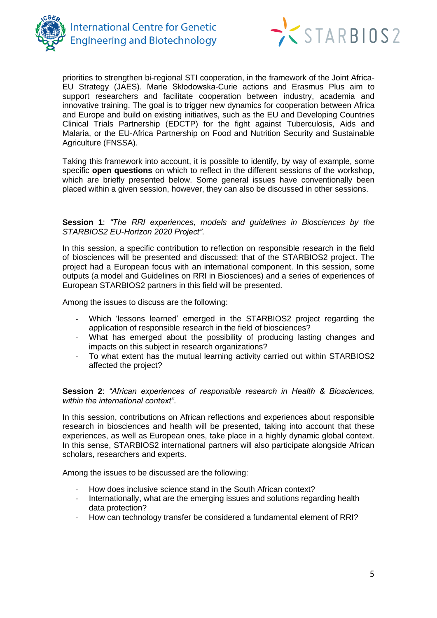



priorities to strengthen bi-regional STI cooperation, in the framework of the Joint Africa-EU Strategy (JAES). Marie Skłodowska-Curie actions and Erasmus Plus aim to support researchers and facilitate cooperation between industry, academia and innovative training. The goal is to trigger new dynamics for cooperation between Africa and Europe and build on existing initiatives, such as the EU and Developing Countries Clinical Trials Partnership (EDCTP) for the fight against Tuberculosis, Aids and Malaria, or the EU-Africa Partnership on Food and Nutrition Security and Sustainable Agriculture (FNSSA).

Taking this framework into account, it is possible to identify, by way of example, some specific **open questions** on which to reflect in the different sessions of the workshop, which are briefly presented below. Some general issues have conventionally been placed within a given session, however, they can also be discussed in other sessions.

**Session 1**: *"The RRI experiences, models and guidelines in Biosciences by the STARBIOS2 EU-Horizon 2020 Project"*.

In this session, a specific contribution to reflection on responsible research in the field of biosciences will be presented and discussed: that of the STARBIOS2 project. The project had a European focus with an international component. In this session, some outputs (a model and Guidelines on RRI in Biosciences) and a series of experiences of European STARBIOS2 partners in this field will be presented.

Among the issues to discuss are the following:

- Which 'lessons learned' emerged in the STARBIOS2 project regarding the application of responsible research in the field of biosciences?
- What has emerged about the possibility of producing lasting changes and impacts on this subject in research organizations?
- To what extent has the mutual learning activity carried out within STARBIOS2 affected the project?

**Session 2**: *"African experiences of responsible research in Health & Biosciences, within the international context"*.

In this session, contributions on African reflections and experiences about responsible research in biosciences and health will be presented, taking into account that these experiences, as well as European ones, take place in a highly dynamic global context. In this sense, STARBIOS2 international partners will also participate alongside African scholars, researchers and experts.

Among the issues to be discussed are the following:

- How does inclusive science stand in the South African context?
- Internationally, what are the emerging issues and solutions regarding health data protection?
- How can technology transfer be considered a fundamental element of RRI?